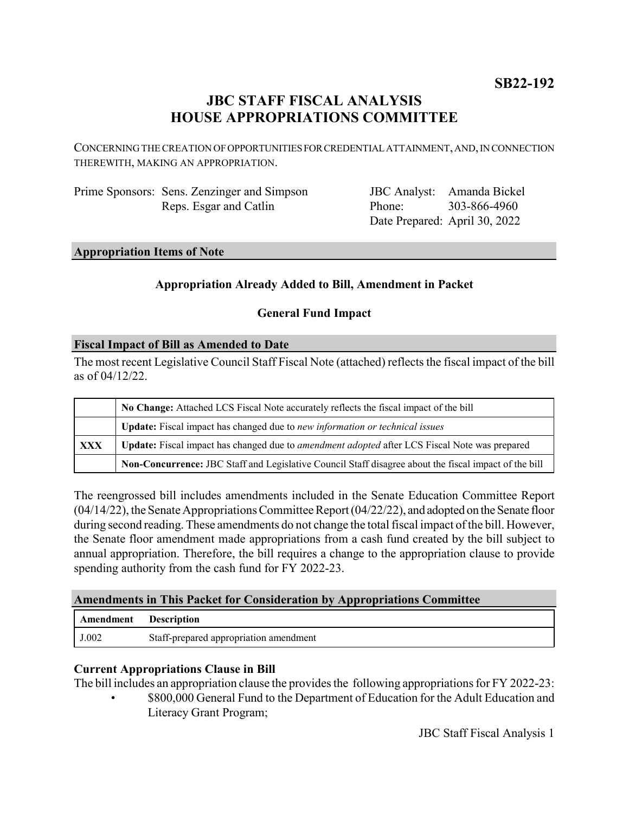# **JBC STAFF FISCAL ANALYSIS HOUSE APPROPRIATIONS COMMITTEE**

CONCERNING THE CREATION OF OPPORTUNITIES FOR CREDENTIAL ATTAINMENT, AND, IN CONNECTION THEREWITH, MAKING AN APPROPRIATION.

Prime Sponsors: Sens. Zenzinger and Simpson Reps. Esgar and Catlin

JBC Analyst: Amanda Bickel Phone: Date Prepared: April 30, 2022 303-866-4960

#### **Appropriation Items of Note**

# **Appropriation Already Added to Bill, Amendment in Packet**

### **General Fund Impact**

#### **Fiscal Impact of Bill as Amended to Date**

The most recent Legislative Council Staff Fiscal Note (attached) reflects the fiscal impact of the bill as of 04/12/22.

|     | No Change: Attached LCS Fiscal Note accurately reflects the fiscal impact of the bill                 |
|-----|-------------------------------------------------------------------------------------------------------|
|     | Update: Fiscal impact has changed due to new information or technical issues                          |
| XXX | Update: Fiscal impact has changed due to amendment adopted after LCS Fiscal Note was prepared         |
|     | Non-Concurrence: JBC Staff and Legislative Council Staff disagree about the fiscal impact of the bill |

The reengrossed bill includes amendments included in the Senate Education Committee Report (04/14/22), the Senate Appropriations Committee Report (04/22/22), and adopted on the Senate floor during second reading. These amendments do not change the total fiscal impact of the bill. However, the Senate floor amendment made appropriations from a cash fund created by the bill subject to annual appropriation. Therefore, the bill requires a change to the appropriation clause to provide spending authority from the cash fund for FY 2022-23.

#### **Amendments in This Packet for Consideration by Appropriations Committee**

| Amendment | <b>Description</b>                     |
|-----------|----------------------------------------|
| J.002     | Staff-prepared appropriation amendment |

#### **Current Appropriations Clause in Bill**

The bill includes an appropriation clause the provides the following appropriations for FY 2022-23:

• \$800,000 General Fund to the Department of Education for the Adult Education and Literacy Grant Program;